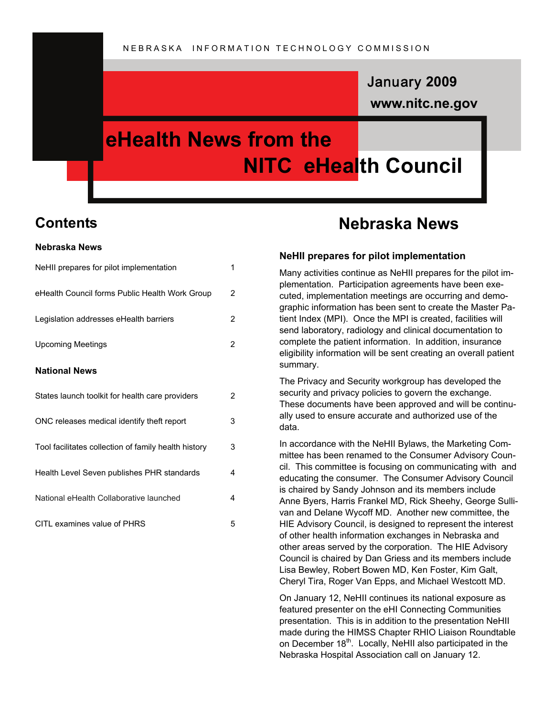# **www.nitc.ne.gov** January **2009**

# **eHealth News from the NITC eHealth Council**

## **Contents**

#### **Nebraska News**

| NeHII prepares for pilot implementation              | 1 |
|------------------------------------------------------|---|
| eHealth Council forms Public Health Work Group       | 2 |
| Legislation addresses eHealth barriers               | 2 |
| <b>Upcoming Meetings</b>                             | 2 |
| <b>National News</b>                                 |   |
| States launch toolkit for health care providers      | 2 |
| ONC releases medical identify theft report           | 3 |
| Tool facilitates collection of family health history | 3 |
| Health Level Seven publishes PHR standards           | 4 |
| National eHealth Collaborative launched              | 4 |
| CITL examines value of PHRS                          | 5 |

# **Nebraska News**

#### **NeHII prepares for pilot implementation**

Many activities continue as NeHII prepares for the pilot implementation. Participation agreements have been executed, implementation meetings are occurring and demographic information has been sent to create the Master Patient Index (MPI). Once the MPI is created, facilities will send laboratory, radiology and clinical documentation to complete the patient information. In addition, insurance eligibility information will be sent creating an overall patient summary.

The Privacy and Security workgroup has developed the security and privacy policies to govern the exchange. These documents have been approved and will be continually used to ensure accurate and authorized use of the data.

In accordance with the NeHII Bylaws, the Marketing Committee has been renamed to the Consumer Advisory Council. This committee is focusing on communicating with and educating the consumer. The Consumer Advisory Council is chaired by Sandy Johnson and its members include Anne Byers, Harris Frankel MD, Rick Sheehy, George Sullivan and Delane Wycoff MD. Another new committee, the HIE Advisory Council, is designed to represent the interest of other health information exchanges in Nebraska and other areas served by the corporation. The HIE Advisory Council is chaired by Dan Griess and its members include Lisa Bewley, Robert Bowen MD, Ken Foster, Kim Galt, Cheryl Tira, Roger Van Epps, and Michael Westcott MD.

On January 12, NeHII continues its national exposure as featured presenter on the eHI Connecting Communities presentation. This is in addition to the presentation NeHII made during the HIMSS Chapter RHIO Liaison Roundtable on December 18<sup>th</sup>. Locally, NeHII also participated in the Nebraska Hospital Association call on January 12.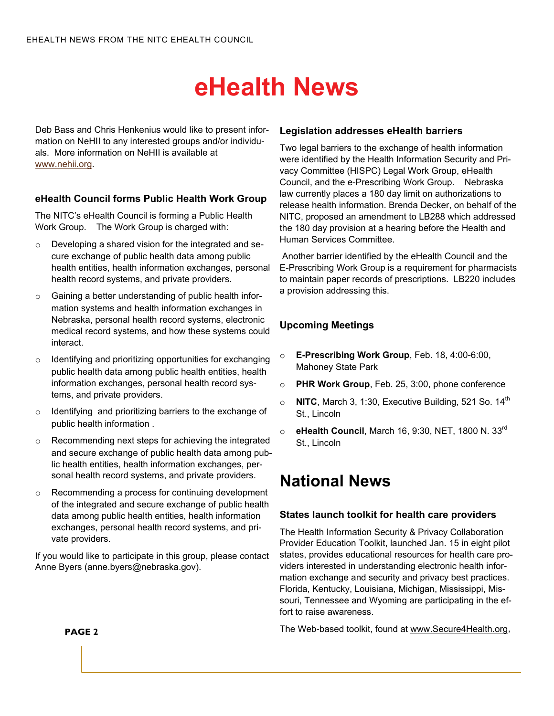Deb Bass and Chris Henkenius would like to present information on NeHII to any interested groups and/or individuals. More information on NeHII is available at [www.nehii.org](http://www.nehii.org).

### **eHealth Council forms Public Health Work Group**

The NITC's eHealth Council is forming a Public Health Work Group. The Work Group is charged with:

- o Developing a shared vision for the integrated and secure exchange of public health data among public health entities, health information exchanges, personal health record systems, and private providers.
- o Gaining a better understanding of public health information systems and health information exchanges in Nebraska, personal health record systems, electronic medical record systems, and how these systems could interact.
- o Identifying and prioritizing opportunities for exchanging public health data among public health entities, health information exchanges, personal health record systems, and private providers.
- o Identifying and prioritizing barriers to the exchange of public health information .
- Recommending next steps for achieving the integrated and secure exchange of public health data among public health entities, health information exchanges, personal health record systems, and private providers.
- o Recommending a process for continuing development of the integrated and secure exchange of public health data among public health entities, health information exchanges, personal health record systems, and private providers.

If you would like to participate in this group, please contact Anne Byers (anne.byers@nebraska.gov).

#### **Legislation addresses eHealth barriers**

Two legal barriers to the exchange of health information were identified by the Health Information Security and Privacy Committee (HISPC) Legal Work Group, eHealth Council, and the e-Prescribing Work Group. Nebraska law currently places a 180 day limit on authorizations to release health information. Brenda Decker, on behalf of the NITC, proposed an amendment to LB288 which addressed the 180 day provision at a hearing before the Health and Human Services Committee.

 Another barrier identified by the eHealth Council and the E-Prescribing Work Group is a requirement for pharmacists to maintain paper records of prescriptions. LB220 includes a provision addressing this.

## **Upcoming Meetings**

- o **E-Prescribing Work Group**, Feb. 18, 4:00-6:00, Mahoney State Park
- o **PHR Work Group**, Feb. 25, 3:00, phone conference
- $\circ$  **NITC**, March 3, 1:30, Executive Building, 521 So. 14<sup>th</sup> St., Lincoln
- o **eHealth Council**, March 16, 9:30, NET, 1800 N. 33rd St., Lincoln

# **National News**

#### **States launch toolkit for health care providers**

The Health Information Security & Privacy Collaboration Provider Education Toolkit, launched Jan. 15 in eight pilot states, provides educational resources for health care providers interested in understanding electronic health information exchange and security and privacy best practices. Florida, Kentucky, Louisiana, Michigan, Mississippi, Missouri, Tennessee and Wyoming are participating in the effort to raise awareness.

The Web-based toolkit, found at www.Secure4Health.org,

**PAGE 2**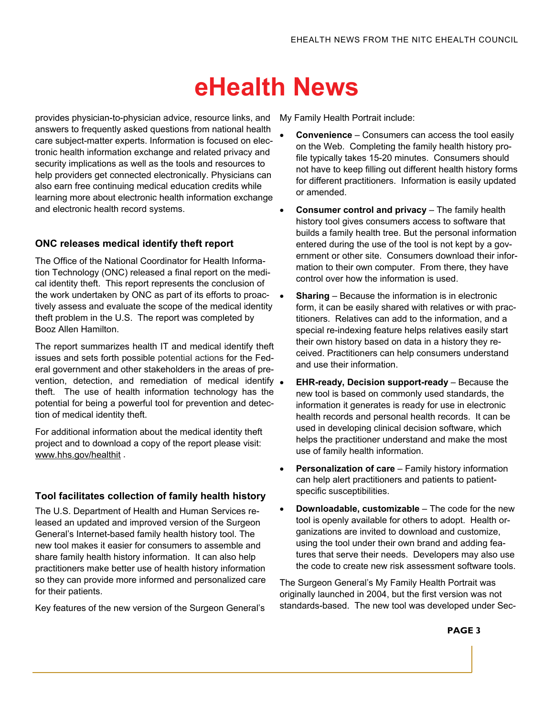provides physician-to-physician advice, resource links, and answers to frequently asked questions from national health care subject-matter experts. Information is focused on electronic health information exchange and related privacy and security implications as well as the tools and resources to help providers get connected electronically. Physicians can also earn free continuing medical education credits while learning more about electronic health information exchange and electronic health record systems.

### **ONC releases medical identify theft report**

The Office of the National Coordinator for Health Information Technology (ONC) released a final report on the medical identity theft. This report represents the conclusion of the work undertaken by ONC as part of its efforts to proactively assess and evaluate the scope of the medical identity theft problem in the U.S. The report was completed by Booz Allen Hamilton.

The report summarizes health IT and medical identify theft issues and sets forth possible potential actions for the Federal government and other stakeholders in the areas of prevention, detection, and remediation of medical identify  $\bullet$ theft. The use of health information technology has the potential for being a powerful tool for prevention and detection of medical identity theft.

For additional information about the medical identity theft project and to download a copy of the report please visit: www.hhs.gov/healthit .

## **Tool facilitates collection of family health history**

The U.S. Department of Health and Human Services released an updated and improved version of the Surgeon General's Internet-based family health history tool. The new tool makes it easier for consumers to assemble and share family health history information. It can also help practitioners make better use of health history information so they can provide more informed and personalized care for their patients.

Key features of the new version of the Surgeon General's

My Family Health Portrait include:

- **Convenience** Consumers can access the tool easily on the Web. Completing the family health history profile typically takes 15-20 minutes. Consumers should not have to keep filling out different health history forms for different practitioners. Information is easily updated or amended.
- **Consumer control and privacy** The family health history tool gives consumers access to software that builds a family health tree. But the personal information entered during the use of the tool is not kept by a government or other site. Consumers download their information to their own computer. From there, they have control over how the information is used.
- **Sharing** Because the information is in electronic form, it can be easily shared with relatives or with practitioners. Relatives can add to the information, and a special re-indexing feature helps relatives easily start their own history based on data in a history they received. Practitioners can help consumers understand and use their information.
- **EHR-ready, Decision support-ready** Because the new tool is based on commonly used standards, the information it generates is ready for use in electronic health records and personal health records. It can be used in developing clinical decision software, which helps the practitioner understand and make the most use of family health information.
- **Personalization of care** Family history information can help alert practitioners and patients to patientspecific susceptibilities.
- **Downloadable, customizable** The code for the new tool is openly available for others to adopt. Health organizations are invited to download and customize, using the tool under their own brand and adding features that serve their needs. Developers may also use the code to create new risk assessment software tools.

The Surgeon General's My Family Health Portrait was originally launched in 2004, but the first version was not standards-based. The new tool was developed under Sec-

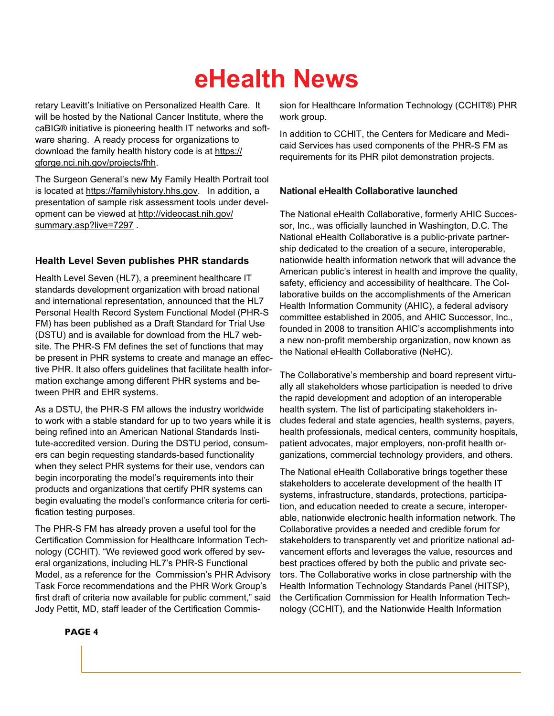retary Leavitt's Initiative on Personalized Health Care. It will be hosted by the National Cancer Institute, where the caBIG® initiative is pioneering health IT networks and software sharing. A ready process for organizations to download the family health history code is at https:// gforge.nci.nih.gov/projects/fhh.

The Surgeon General's new My Family Health Portrait tool is located at https://familyhistory.hhs.gov. In addition, a presentation of sample risk assessment tools under development can be viewed at http://videocast.nih.gov/ summary.asp?live=7297 .

### **Health Level Seven publishes PHR standards**

Health Level Seven (HL7), a preeminent healthcare IT standards development organization with broad national and international representation, announced that the HL7 Personal Health Record System Functional Model (PHR-S FM) has been published as a Draft Standard for Trial Use (DSTU) and is available for download from the HL7 website. The PHR-S FM defines the set of functions that may be present in PHR systems to create and manage an effective PHR. It also offers guidelines that facilitate health information exchange among different PHR systems and between PHR and EHR systems.

As a DSTU, the PHR-S FM allows the industry worldwide to work with a stable standard for up to two years while it is being refined into an American National Standards Institute-accredited version. During the DSTU period, consumers can begin requesting standards-based functionality when they select PHR systems for their use, vendors can begin incorporating the model's requirements into their products and organizations that certify PHR systems can begin evaluating the model's conformance criteria for certification testing purposes.

The PHR-S FM has already proven a useful tool for the Certification Commission for Healthcare Information Technology (CCHIT). "We reviewed good work offered by several organizations, including HL7's PHR-S Functional Model, as a reference for the Commission's PHR Advisory Task Force recommendations and the PHR Work Group's first draft of criteria now available for public comment," said Jody Pettit, MD, staff leader of the Certification Commis-

sion for Healthcare Information Technology (CCHIT®) PHR work group.

In addition to CCHIT, the Centers for Medicare and Medicaid Services has used components of the PHR-S FM as requirements for its PHR pilot demonstration projects.

### **National eHealth Collaborative launched**

The National eHealth Collaborative, formerly AHIC Successor, Inc., was officially launched in Washington, D.C. The National eHealth Collaborative is a public-private partnership dedicated to the creation of a secure, interoperable, nationwide health information network that will advance the American public's interest in health and improve the quality, safety, efficiency and accessibility of healthcare. The Collaborative builds on the accomplishments of the American Health Information Community (AHIC), a federal advisory committee established in 2005, and AHIC Successor, Inc., founded in 2008 to transition AHIC's accomplishments into a new non-profit membership organization, now known as the National eHealth Collaborative (NeHC).

The Collaborative's membership and board represent virtually all stakeholders whose participation is needed to drive the rapid development and adoption of an interoperable health system. The list of participating stakeholders includes federal and state agencies, health systems, payers, health professionals, medical centers, community hospitals, patient advocates, major employers, non-profit health organizations, commercial technology providers, and others.

The National eHealth Collaborative brings together these stakeholders to accelerate development of the health IT systems, infrastructure, standards, protections, participation, and education needed to create a secure, interoperable, nationwide electronic health information network. The Collaborative provides a needed and credible forum for stakeholders to transparently vet and prioritize national advancement efforts and leverages the value, resources and best practices offered by both the public and private sectors. The Collaborative works in close partnership with the Health Information Technology Standards Panel (HITSP), the Certification Commission for Health Information Technology (CCHIT), and the Nationwide Health Information

#### **PAGE 4**